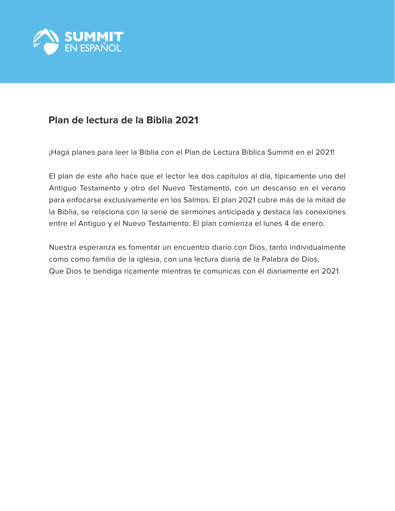

# **Plan de lectura de la Biblia 2021**

¡Haga planes para leer la Biblia con el Plan de Lectura Bíblica Summit en el 2021!

El plan de este año hace que el lector lea dos capítulos al día, típicamente uno del Antiguo Testamento y otro del Nuevo Testamento, con un descanso en el verano para enfocarse exclusivamente en los Salmos. El plan 2021 cubre más de la mitad de la Biblia, se relaciona con la serie de sermones anticipada y destaca las conexiones entre el Antiguo y el Nuevo Testamento. El plan comienza el lunes 4 de enero.

Nuestra esperanza es fomentar un encuentro diario con Dios, tanto individualmente como como familia de la iglesia, con una lectura diaria de la Palabra de Dios. Que Dios te bendiga ricamente mientras te comunicas con él diariamente en 2021.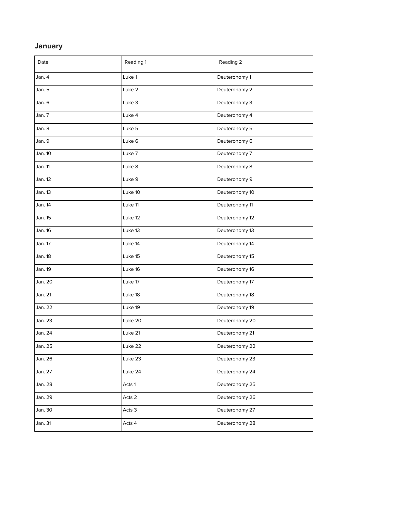## **January**

| Date    | Reading 1 | Reading 2      |
|---------|-----------|----------------|
| Jan. 4  | Luke 1    | Deuteronomy 1  |
| Jan. 5  | Luke 2    | Deuteronomy 2  |
| Jan. 6  | Luke 3    | Deuteronomy 3  |
| Jan. 7  | Luke 4    | Deuteronomy 4  |
| Jan. 8  | Luke 5    | Deuteronomy 5  |
| Jan. 9  | Luke 6    | Deuteronomy 6  |
| Jan. 10 | Luke 7    | Deuteronomy 7  |
| Jan. 11 | Luke 8    | Deuteronomy 8  |
| Jan. 12 | Luke 9    | Deuteronomy 9  |
| Jan. 13 | Luke 10   | Deuteronomy 10 |
| Jan. 14 | Luke 11   | Deuteronomy 11 |
| Jan. 15 | Luke 12   | Deuteronomy 12 |
| Jan. 16 | Luke 13   | Deuteronomy 13 |
| Jan. 17 | Luke 14   | Deuteronomy 14 |
| Jan. 18 | Luke 15   | Deuteronomy 15 |
| Jan. 19 | Luke 16   | Deuteronomy 16 |
| Jan. 20 | Luke 17   | Deuteronomy 17 |
| Jan. 21 | Luke 18   | Deuteronomy 18 |
| Jan. 22 | Luke 19   | Deuteronomy 19 |
| Jan. 23 | Luke 20   | Deuteronomy 20 |
| Jan. 24 | Luke 21   | Deuteronomy 21 |
| Jan. 25 | Luke 22   | Deuteronomy 22 |
| Jan. 26 | Luke 23   | Deuteronomy 23 |
| Jan. 27 | Luke 24   | Deuteronomy 24 |
| Jan. 28 | Acts 1    | Deuteronomy 25 |
| Jan. 29 | Acts 2    | Deuteronomy 26 |
| Jan. 30 | Acts 3    | Deuteronomy 27 |
| Jan. 31 | Acts 4    | Deuteronomy 28 |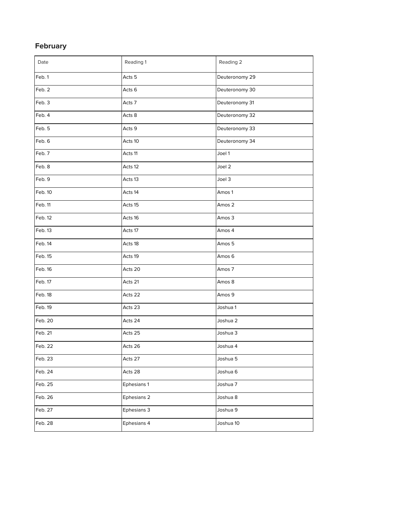## **February**

| Date    | Reading 1   | Reading 2      |
|---------|-------------|----------------|
| Feb. 1  | Acts 5      | Deuteronomy 29 |
| Feb. 2  | Acts 6      | Deuteronomy 30 |
| Feb. 3  | Acts 7      | Deuteronomy 31 |
| Feb. 4  | Acts 8      | Deuteronomy 32 |
| Feb. 5  | Acts 9      | Deuteronomy 33 |
| Feb. 6  | Acts 10     | Deuteronomy 34 |
| Feb. 7  | Acts 11     | Joel 1         |
| Feb. 8  | Acts 12     | Joel 2         |
| Feb. 9  | Acts 13     | Joel 3         |
| Feb. 10 | Acts 14     | Amos 1         |
| Feb. 11 | Acts 15     | Amos 2         |
| Feb. 12 | Acts 16     | Amos 3         |
| Feb. 13 | Acts 17     | Amos 4         |
| Feb. 14 | Acts 18     | Amos 5         |
| Feb. 15 | Acts 19     | Amos 6         |
| Feb. 16 | Acts 20     | Amos 7         |
| Feb. 17 | Acts 21     | Amos 8         |
| Feb. 18 | Acts 22     | Amos 9         |
| Feb. 19 | Acts 23     | Joshua 1       |
| Feb. 20 | Acts 24     | Joshua 2       |
| Feb. 21 | Acts 25     | Joshua 3       |
| Feb. 22 | Acts 26     | Joshua 4       |
| Feb. 23 | Acts 27     | Joshua 5       |
| Feb. 24 | Acts 28     | Joshua 6       |
| Feb. 25 | Ephesians 1 | Joshua 7       |
| Feb. 26 | Ephesians 2 | Joshua 8       |
| Feb. 27 | Ephesians 3 | Joshua 9       |
| Feb. 28 | Ephesians 4 | Joshua 10      |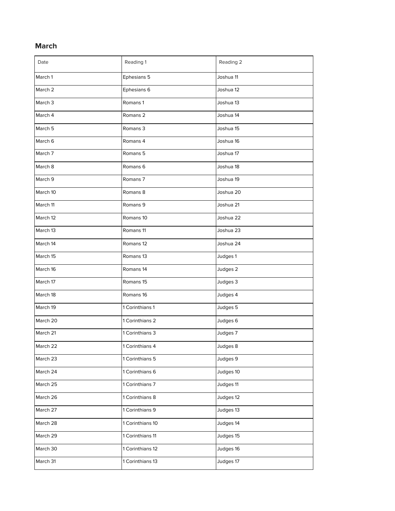## **March**

| Date               | Reading 1            | Reading 2 |
|--------------------|----------------------|-----------|
| March 1            | Ephesians 5          | Joshua 11 |
| March 2            | Ephesians 6          | Joshua 12 |
| March <sub>3</sub> | Romans 1             | Joshua 13 |
| March 4            | Romans <sub>2</sub>  | Joshua 14 |
| March 5            | Romans 3             | Joshua 15 |
| March 6            | Romans 4             | Joshua 16 |
| March 7            | Romans <sub>5</sub>  | Joshua 17 |
| March 8            | Romans <sub>6</sub>  | Joshua 18 |
| March 9            | Romans <sub>7</sub>  | Joshua 19 |
| March 10           | Romans 8             | Joshua 20 |
| March 11           | Romans 9             | Joshua 21 |
| March 12           | Romans 10            | Joshua 22 |
| March 13           | Romans 11            | Joshua 23 |
| March 14           | Romans 12            | Joshua 24 |
| March 15           | Romans <sub>13</sub> | Judges 1  |
| March 16           | Romans 14            | Judges 2  |
| March 17           | Romans 15            | Judges 3  |
| March 18           | Romans 16            | Judges 4  |
| March 19           | 1 Corinthians 1      | Judges 5  |
| March 20           | 1 Corinthians 2      | Judges 6  |
| March 21           | 1 Corinthians 3      | Judges 7  |
| March 22           | 1 Corinthians 4      | Judges 8  |
| March 23           | 1 Corinthians 5      | Judges 9  |
| March 24           | 1 Corinthians 6      | Judges 10 |
| March 25           | 1 Corinthians 7      | Judges 11 |
| March 26           | 1 Corinthians 8      | Judges 12 |
| March 27           | 1 Corinthians 9      | Judges 13 |
| March 28           | 1 Corinthians 10     | Judges 14 |
| March 29           | 1 Corinthians 11     | Judges 15 |
| March 30           | 1 Corinthians 12     | Judges 16 |
| March 31           | 1 Corinthians 13     | Judges 17 |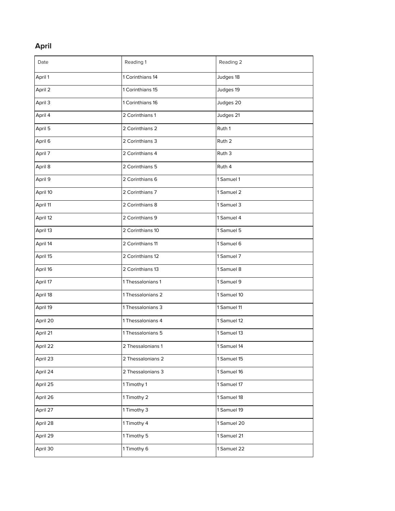## **April**

| Date     | Reading 1         | Reading 2         |
|----------|-------------------|-------------------|
| April 1  | 1 Corinthians 14  | Judges 18         |
| April 2  | 1 Corinthians 15  | Judges 19         |
| April 3  | 1 Corinthians 16  | Judges 20         |
| April 4  | 2 Corinthians 1   | Judges 21         |
| April 5  | 2 Corinthians 2   | Ruth 1            |
| April 6  | 2 Corinthians 3   | Ruth <sub>2</sub> |
| April 7  | 2 Corinthians 4   | Ruth 3            |
| April 8  | 2 Corinthians 5   | Ruth 4            |
| April 9  | 2 Corinthians 6   | 1 Samuel 1        |
| April 10 | 2 Corinthians 7   | 1 Samuel 2        |
| April 11 | 2 Corinthians 8   | 1 Samuel 3        |
| April 12 | 2 Corinthians 9   | 1 Samuel 4        |
| April 13 | 2 Corinthians 10  | 1 Samuel 5        |
| April 14 | 2 Corinthians 11  | 1 Samuel 6        |
| April 15 | 2 Corinthians 12  | 1 Samuel 7        |
| April 16 | 2 Corinthians 13  | 1 Samuel 8        |
| April 17 | 1 Thessalonians 1 | 1 Samuel 9        |
| April 18 | 1 Thessalonians 2 | 1 Samuel 10       |
| April 19 | 1 Thessalonians 3 | 1 Samuel 11       |
| April 20 | 1 Thessalonians 4 | 1 Samuel 12       |
| April 21 | 1 Thessalonians 5 | 1 Samuel 13       |
| April 22 | 2 Thessalonians 1 | 1 Samuel 14       |
| April 23 | 2 Thessalonians 2 | 1 Samuel 15       |
| April 24 | 2 Thessalonians 3 | 1 Samuel 16       |
| April 25 | 1 Timothy 1       | 1 Samuel 17       |
| April 26 | 1 Timothy 2       | 1 Samuel 18       |
| April 27 | 1 Timothy 3       | 1 Samuel 19       |
| April 28 | 1 Timothy 4       | 1 Samuel 20       |
| April 29 | 1 Timothy 5       | 1 Samuel 21       |
| April 30 | 1 Timothy 6       | 1 Samuel 22       |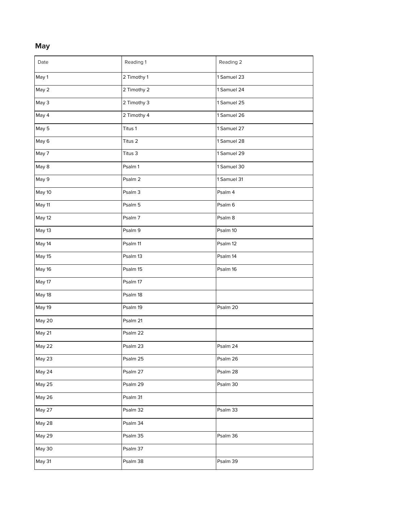#### **M a y**

| Date   | Reading 1   | Reading 2   |
|--------|-------------|-------------|
| May 1  | 2 Timothy 1 | 1 Samuel 23 |
| May 2  | 2 Timothy 2 | 1 Samuel 24 |
| May 3  | 2 Timothy 3 | 1 Samuel 25 |
| May 4  | 2 Timothy 4 | 1 Samuel 26 |
| May 5  | Titus 1     | 1 Samuel 27 |
| May 6  | Titus 2     | 1 Samuel 28 |
| May 7  | Titus 3     | 1 Samuel 29 |
| May 8  | Psalm 1     | 1 Samuel 30 |
| May 9  | Psalm 2     | 1 Samuel 31 |
| May 10 | Psalm 3     | Psalm 4     |
| May 11 | Psalm 5     | Psalm 6     |
| May 12 | Psalm 7     | Psalm 8     |
| May 13 | Psalm 9     | Psalm 10    |
| May 14 | Psalm 11    | Psalm 12    |
| May 15 | Psalm 13    | Psalm 14    |
| May 16 | Psalm 15    | Psalm 16    |
| May 17 | Psalm 17    |             |
| May 18 | Psalm 18    |             |
| May 19 | Psalm 19    | Psalm 20    |
| May 20 | Psalm 21    |             |
| May 21 | Psalm 22    |             |
| May 22 | Psalm 23    | Psalm 24    |
| May 23 | Psalm 25    | Psalm 26    |
| May 24 | Psalm 27    | Psalm 28    |
| May 25 | Psalm 29    | Psalm 30    |
| May 26 | Psalm 31    |             |
| May 27 | Psalm 32    | Psalm 33    |
| May 28 | Psalm 34    |             |
| May 29 | Psalm 35    | Psalm 36    |
| May 30 | Psalm 37    |             |
| May 31 | Psalm 38    | Psalm 39    |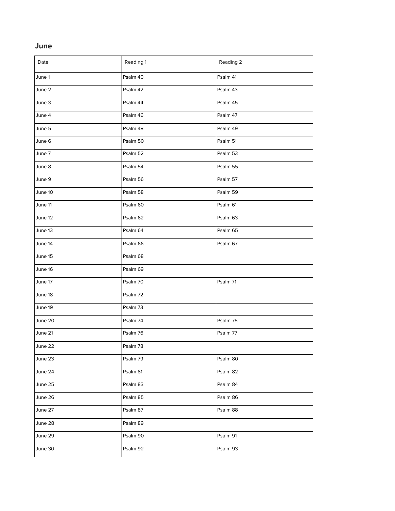#### **J u n e**

| Date    | Reading 1 | Reading 2 |
|---------|-----------|-----------|
| June 1  | Psalm 40  | Psalm 41  |
| June 2  | Psalm 42  | Psalm 43  |
| June 3  | Psalm 44  | Psalm 45  |
| June 4  | Psalm 46  | Psalm 47  |
| June 5  | Psalm 48  | Psalm 49  |
| June 6  | Psalm 50  | Psalm 51  |
| June 7  | Psalm 52  | Psalm 53  |
| June 8  | Psalm 54  | Psalm 55  |
| June 9  | Psalm 56  | Psalm 57  |
| June 10 | Psalm 58  | Psalm 59  |
| June 11 | Psalm 60  | Psalm 61  |
| June 12 | Psalm 62  | Psalm 63  |
| June 13 | Psalm 64  | Psalm 65  |
| June 14 | Psalm 66  | Psalm 67  |
| June 15 | Psalm 68  |           |
| June 16 | Psalm 69  |           |
| June 17 | Psalm 70  | Psalm 71  |
| June 18 | Psalm 72  |           |
| June 19 | Psalm 73  |           |
| June 20 | Psalm 74  | Psalm 75  |
| June 21 | Psalm 76  | Psalm 77  |
| June 22 | Psalm 78  |           |
| June 23 | Psalm 79  | Psalm 80  |
| June 24 | Psalm 81  | Psalm 82  |
| June 25 | Psalm 83  | Psalm 84  |
| June 26 | Psalm 85  | Psalm 86  |
| June 27 | Psalm 87  | Psalm 88  |
| June 28 | Psalm 89  |           |
| June 29 | Psalm 90  | Psalm 91  |
| June 30 | Psalm 92  | Psalm 93  |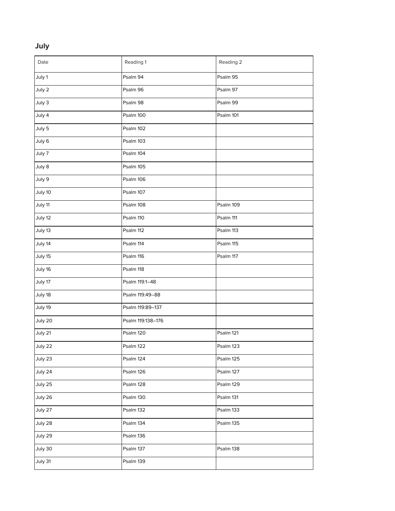## **July**

| Date    | Reading 1         | Reading 2 |
|---------|-------------------|-----------|
| July 1  | Psalm 94          | Psalm 95  |
| July 2  | Psalm 96          | Psalm 97  |
| July 3  | Psalm 98          | Psalm 99  |
| July 4  | Psalm 100         | Psalm 101 |
| July 5  | Psalm 102         |           |
| July 6  | Psalm 103         |           |
| July 7  | Psalm 104         |           |
| July 8  | Psalm 105         |           |
| July 9  | Psalm 106         |           |
| July 10 | Psalm 107         |           |
| July 11 | Psalm 108         | Psalm 109 |
| July 12 | Psalm 110         | Psalm 111 |
| July 13 | Psalm 112         | Psalm 113 |
| July 14 | Psalm 114         | Psalm 115 |
| July 15 | Psalm 116         | Psalm 117 |
| July 16 | Psalm 118         |           |
| July 17 | Psalm 119:1-48    |           |
| July 18 | Psalm 119:49-88   |           |
| July 19 | Psalm 119:89-137  |           |
| July 20 | Psalm 119:138-176 |           |
| July 21 | Psalm 120         | Psalm 121 |
| July 22 | Psalm 122         | Psalm 123 |
| July 23 | Psalm 124         | Psalm 125 |
| July 24 | Psalm 126         | Psalm 127 |
| July 25 | Psalm 128         | Psalm 129 |
| July 26 | Psalm 130         | Psalm 131 |
| July 27 | Psalm 132         | Psalm 133 |
| July 28 | Psalm 134         | Psalm 135 |
| July 29 | Psalm 136         |           |
| July 30 | Psalm 137         | Psalm 138 |
| July 31 | Psalm 139         |           |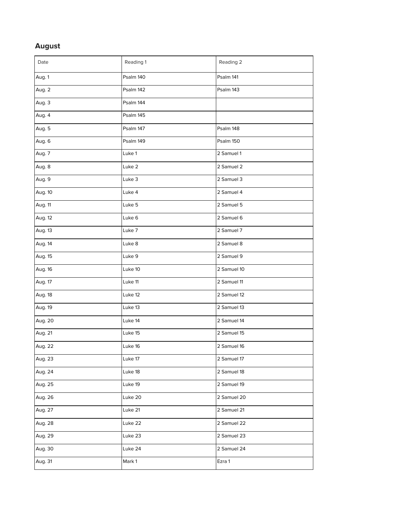#### **A u g u s t**

| Date    | Reading 1 | Reading 2   |
|---------|-----------|-------------|
| Aug. 1  | Psalm 140 | Psalm 141   |
| Aug. 2  | Psalm 142 | Psalm 143   |
| Aug. 3  | Psalm 144 |             |
| Aug. 4  | Psalm 145 |             |
| Aug. 5  | Psalm 147 | Psalm 148   |
| Aug. 6  | Psalm 149 | Psalm 150   |
| Aug. 7  | Luke 1    | 2 Samuel 1  |
| Aug. 8  | Luke 2    | 2 Samuel 2  |
| Aug. 9  | Luke 3    | 2 Samuel 3  |
| Aug. 10 | Luke 4    | 2 Samuel 4  |
| Aug. 11 | Luke 5    | 2 Samuel 5  |
| Aug. 12 | Luke 6    | 2 Samuel 6  |
| Aug. 13 | Luke 7    | 2 Samuel 7  |
| Aug. 14 | Luke 8    | 2 Samuel 8  |
| Aug. 15 | Luke 9    | 2 Samuel 9  |
| Aug. 16 | Luke 10   | 2 Samuel 10 |
| Aug. 17 | Luke 11   | 2 Samuel 11 |
| Aug. 18 | Luke 12   | 2 Samuel 12 |
| Aug. 19 | Luke 13   | 2 Samuel 13 |
| Aug. 20 | Luke 14   | 2 Samuel 14 |
| Aug. 21 | Luke 15   | 2 Samuel 15 |
| Aug. 22 | Luke 16   | 2 Samuel 16 |
| Aug. 23 | Luke 17   | 2 Samuel 17 |
| Aug. 24 | Luke 18   | 2 Samuel 18 |
| Aug. 25 | Luke 19   | 2 Samuel 19 |
| Aug. 26 | Luke 20   | 2 Samuel 20 |
| Aug. 27 | Luke 21   | 2 Samuel 21 |
| Aug. 28 | Luke 22   | 2 Samuel 22 |
| Aug. 29 | Luke 23   | 2 Samuel 23 |
| Aug. 30 | Luke 24   | 2 Samuel 24 |
| Aug. 31 | Mark 1    | Ezra 1      |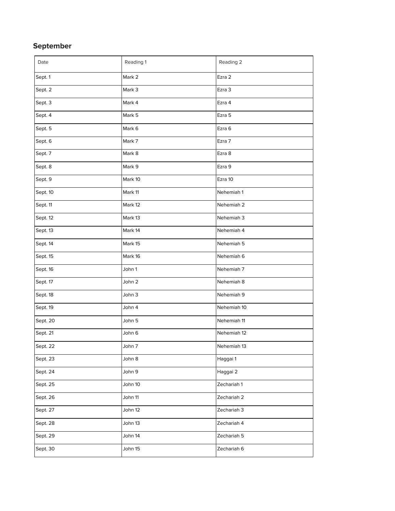## **September**

| Date     | Reading 1 | Reading 2   |
|----------|-----------|-------------|
| Sept. 1  | Mark 2    | Ezra 2      |
| Sept. 2  | Mark 3    | Ezra 3      |
| Sept. 3  | Mark 4    | Ezra 4      |
| Sept. 4  | Mark 5    | Ezra 5      |
| Sept. 5  | Mark 6    | Ezra 6      |
| Sept. 6  | Mark 7    | Ezra 7      |
| Sept. 7  | Mark 8    | Ezra 8      |
| Sept. 8  | Mark 9    | Ezra 9      |
| Sept. 9  | Mark 10   | Ezra 10     |
| Sept. 10 | Mark 11   | Nehemiah 1  |
| Sept. 11 | Mark 12   | Nehemiah 2  |
| Sept. 12 | Mark 13   | Nehemiah 3  |
| Sept. 13 | Mark 14   | Nehemiah 4  |
| Sept. 14 | Mark 15   | Nehemiah 5  |
| Sept. 15 | Mark 16   | Nehemiah 6  |
| Sept. 16 | John 1    | Nehemiah 7  |
| Sept. 17 | John 2    | Nehemiah 8  |
| Sept. 18 | John 3    | Nehemiah 9  |
| Sept. 19 | John 4    | Nehemiah 10 |
| Sept. 20 | John 5    | Nehemiah 11 |
| Sept. 21 | John 6    | Nehemiah 12 |
| Sept. 22 | John 7    | Nehemiah 13 |
| Sept. 23 | John 8    | Haggai 1    |
| Sept. 24 | John 9    | Haggai 2    |
| Sept. 25 | John 10   | Zechariah 1 |
| Sept. 26 | John 11   | Zechariah 2 |
| Sept. 27 | John 12   | Zechariah 3 |
| Sept. 28 | John 13   | Zechariah 4 |
| Sept. 29 | John 14   | Zechariah 5 |
| Sept. 30 | John 15   | Zechariah 6 |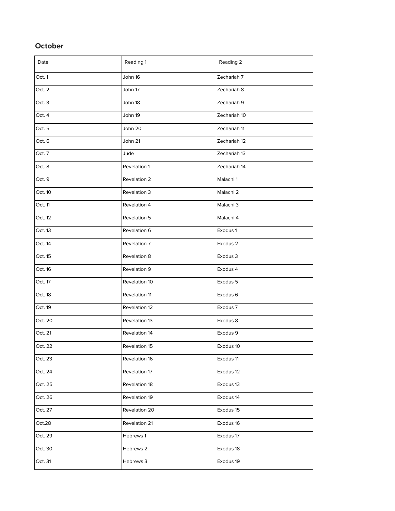## **October**

| Date    | Reading 1     | Reading 2    |
|---------|---------------|--------------|
| Oct. 1  | John 16       | Zechariah 7  |
| Oct. 2  | John 17       | Zechariah 8  |
| Oct. 3  | John 18       | Zechariah 9  |
| Oct. 4  | John 19       | Zechariah 10 |
| Oct. 5  | John 20       | Zechariah 11 |
| Oct. 6  | John 21       | Zechariah 12 |
| Oct. 7  | Jude          | Zechariah 13 |
| Oct. 8  | Revelation 1  | Zechariah 14 |
| Oct. 9  | Revelation 2  | Malachi 1    |
| Oct. 10 | Revelation 3  | Malachi 2    |
| Oct. 11 | Revelation 4  | Malachi 3    |
| Oct. 12 | Revelation 5  | Malachi 4    |
| Oct. 13 | Revelation 6  | Exodus 1     |
| Oct. 14 | Revelation 7  | Exodus 2     |
| Oct. 15 | Revelation 8  | Exodus 3     |
| Oct. 16 | Revelation 9  | Exodus 4     |
| Oct. 17 | Revelation 10 | Exodus 5     |
| Oct. 18 | Revelation 11 | Exodus 6     |
| Oct. 19 | Revelation 12 | Exodus 7     |
| Oct. 20 | Revelation 13 | Exodus 8     |
| Oct. 21 | Revelation 14 | Exodus 9     |
| Oct. 22 | Revelation 15 | Exodus 10    |
| Oct. 23 | Revelation 16 | Exodus 11    |
| Oct. 24 | Revelation 17 | Exodus 12    |
| Oct. 25 | Revelation 18 | Exodus 13    |
| Oct. 26 | Revelation 19 | Exodus 14    |
| Oct. 27 | Revelation 20 | Exodus 15    |
| Oct.28  | Revelation 21 | Exodus 16    |
| Oct. 29 | Hebrews 1     | Exodus 17    |
| Oct. 30 | Hebrews 2     | Exodus 18    |
| Oct. 31 | Hebrews 3     | Exodus 19    |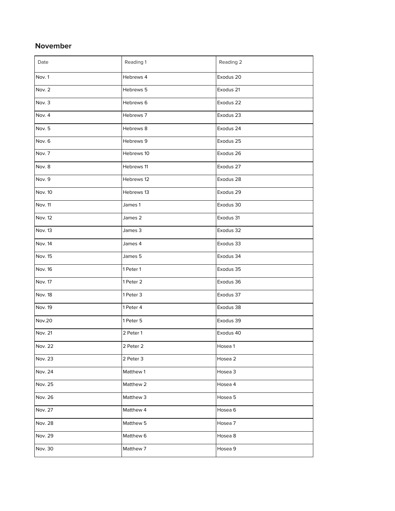### **November**

| Date           | Reading 1  | Reading 2          |
|----------------|------------|--------------------|
| Nov. 1         | Hebrews 4  | Exodus 20          |
| Nov. 2         | Hebrews 5  | Exodus 21          |
| Nov. 3         | Hebrews 6  | Exodus 22          |
| Nov. 4         | Hebrews 7  | Exodus 23          |
| Nov. 5         | Hebrews 8  | Exodus 24          |
| Nov. 6         | Hebrews 9  | Exodus 25          |
| Nov. 7         | Hebrews 10 | Exodus 26          |
| Nov. 8         | Hebrews 11 | Exodus 27          |
| Nov. 9         | Hebrews 12 | Exodus 28          |
| Nov. 10        | Hebrews 13 | Exodus 29          |
| Nov. 11        | James 1    | Exodus 30          |
| Nov. 12        | James 2    | Exodus 31          |
| Nov. 13        | James 3    | Exodus 32          |
| Nov. 14        | James 4    | Exodus 33          |
| Nov. 15        | James 5    | Exodus 34          |
| Nov. 16        | 1 Peter 1  | Exodus 35          |
| Nov. 17        | 1 Peter 2  | Exodus 36          |
| <b>Nov. 18</b> | 1 Peter 3  | Exodus 37          |
| Nov. 19        | 1 Peter 4  | Exodus 38          |
| <b>Nov.20</b>  | 1 Peter 5  | Exodus 39          |
| Nov. 21        | 2 Peter 1  | Exodus 40          |
| Nov. 22        | 2 Peter 2  | Hosea 1            |
| Nov. 23        | 2 Peter 3  | Hosea 2            |
| Nov. 24        | Matthew 1  | Hosea 3            |
| Nov. 25        | Matthew 2  | Hosea 4            |
| Nov. 26        | Matthew 3  | Hosea 5            |
| Nov. 27        | Matthew 4  | Hosea <sub>6</sub> |
| Nov. 28        | Matthew 5  | Hosea 7            |
| Nov. 29        | Matthew 6  | Hosea 8            |
| Nov. 30        | Matthew 7  | Hosea 9            |